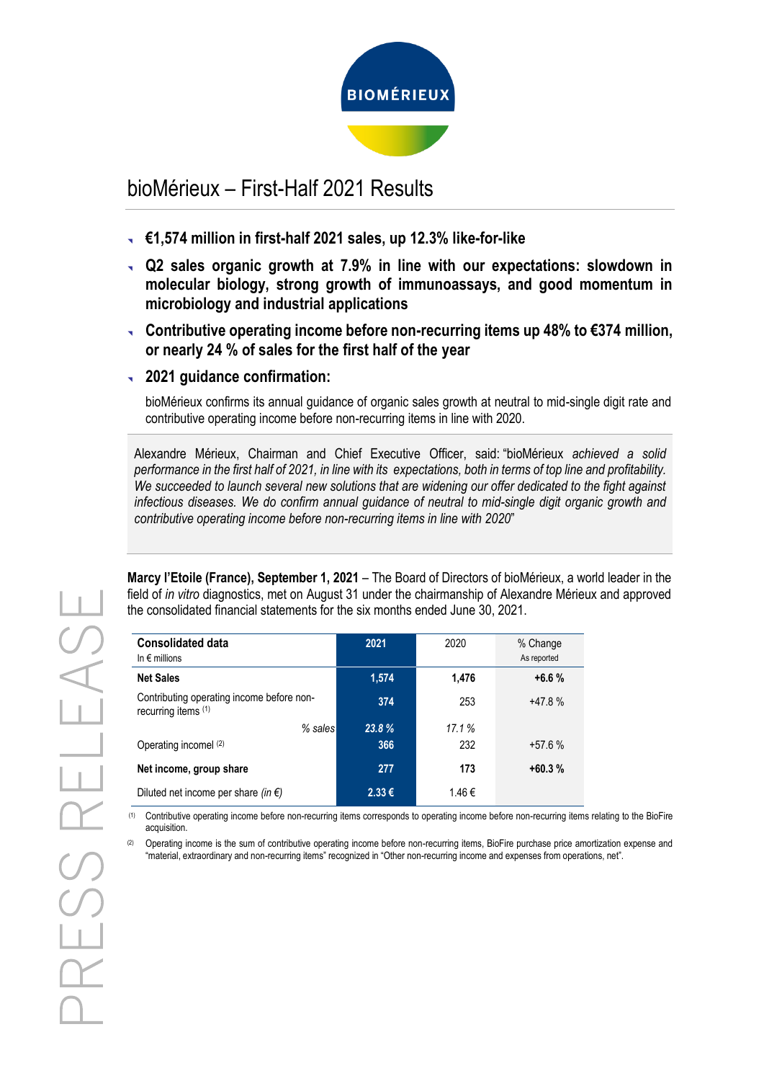

# bioMérieux – First-Half 2021 Results

- **€1,574 million in first-half 2021 sales, up 12.3% like-for-like**
- **Q2 sales organic growth at 7.9% in line with our expectations: slowdown in molecular biology, strong growth of immunoassays, and good momentum in microbiology and industrial applications**
- **Contributive operating income before non-recurring items up 48% to €374 million, or nearly 24 % of sales for the first half of the year**
- **2021 guidance confirmation:**

bioMérieux confirms its annual guidance of organic sales growth at neutral to mid-single digit rate and contributive operating income before non-recurring items in line with 2020.

Alexandre Mérieux, Chairman and Chief Executive Officer, said: "bioMérieux *achieved a solid performance in the first half of 2021, in line with its expectations, both in terms of top line and profitability. We succeeded to launch several new solutions that are widening our offer dedicated to the fight against infectious diseases. We do confirm annual guidance of neutral to mid-single digit organic growth and contributive operating income before non-recurring items in line with 2020*"

**Marcy l'Etoile (France), September 1, 2021** – The Board of Directors of bioMérieux, a world leader in the field of *in vitro* diagnostics, met on August 31 under the chairmanship of Alexandre Mérieux and approved the consolidated financial statements for the six months ended June 30, 2021.

| <b>Consolidated data</b><br>In $\epsilon$ millions               | 2021       | 2020  | % Change<br>As reported |
|------------------------------------------------------------------|------------|-------|-------------------------|
| <b>Net Sales</b>                                                 | 1,574      | 1,476 | $+6.6%$                 |
| Contributing operating income before non-<br>recurring items (1) | 374        | 253   | $+47.8%$                |
| $%$ sales                                                        | 23.8%      | 17.1% |                         |
| Operating incomel (2)                                            | 366        | 232   | $+57.6%$                |
| Net income, group share                                          | 277        | 173   | $+60.3%$                |
| Diluted net income per share (in $\epsilon$ )                    | $2.33 \in$ | 1.46€ |                         |

(1) Contributive operating income before non-recurring items corresponds to operating income before non-recurring items relating to the BioFire acquisition.

(2) Operating income is the sum of contributive operating income before non-recurring items. BioFire purchase price amortization expense and "material, extraordinary and non-recurring items" recognized in "Other non-recurring income and expenses from operations, net".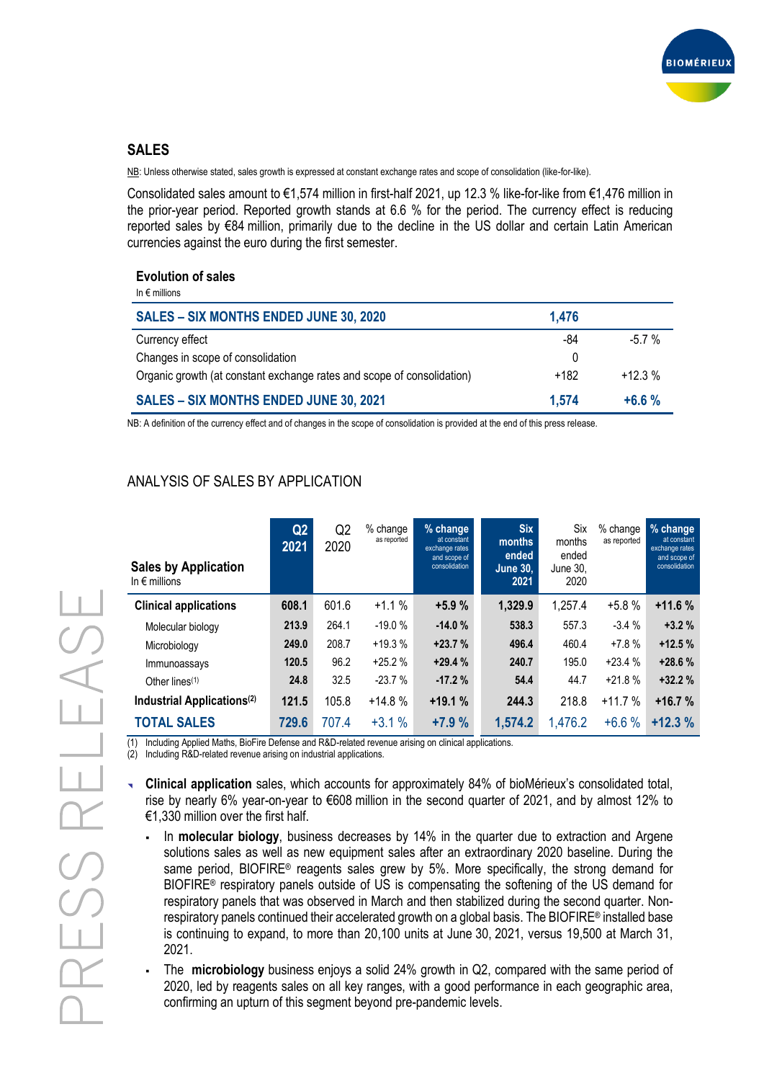

# **SALES**

NB: Unless otherwise stated, sales growth is expressed at constant exchange rates and scope of consolidation (like-for-like).

Consolidated sales amount to €1,574 million in first-half 2021, up 12.3 % like-for-like from €1,476 million in the prior-year period. Reported growth stands at 6.6 % for the period. The currency effect is reducing reported sales by €84 million, primarily due to the decline in the US dollar and certain Latin American currencies against the euro during the first semester.

#### **Evolution of sales**

| In $\epsilon$ millions                                                 |       |          |
|------------------------------------------------------------------------|-------|----------|
| <b>SALES - SIX MONTHS ENDED JUNE 30, 2020</b>                          | 1,476 |          |
| Currency effect                                                        | -84   | $-5.7%$  |
| Changes in scope of consolidation                                      | 0     |          |
| Organic growth (at constant exchange rates and scope of consolidation) | +182  | $+12.3%$ |
| <b>SALES - SIX MONTHS ENDED JUNE 30, 2021</b>                          | 1.574 | $+6.6%$  |

NB: A definition of the currency effect and of changes in the scope of consolidation is provided at the end of this press release.

# ANALYSIS OF SALES BY APPLICATION

| <b>Sales by Application</b><br>In $\epsilon$ millions | Q <sub>2</sub><br>2021 | Q <sub>2</sub><br>2020 | % change<br>as reported | % change<br>at constant<br>exchange rates<br>and scope of<br>consolidation | <b>Six</b><br>months<br>ended<br><b>June 30,</b><br>2021 | Six<br>months<br>ended<br>June 30.<br>2020 | % change<br>as reported | % change<br>at constant<br>exchange rates<br>and scope of<br>consolidation |
|-------------------------------------------------------|------------------------|------------------------|-------------------------|----------------------------------------------------------------------------|----------------------------------------------------------|--------------------------------------------|-------------------------|----------------------------------------------------------------------------|
| <b>Clinical applications</b>                          | 608.1                  | 601.6                  | $+1.1%$                 | $+5.9%$                                                                    | 1,329.9                                                  | 1,257.4                                    | $+5.8%$                 | $+11.6%$                                                                   |
| Molecular biology                                     | 213.9                  | 264.1                  | $-19.0%$                | $-14.0%$                                                                   | 538.3                                                    | 557.3                                      | $-3.4%$                 | $+3.2%$                                                                    |
| Microbiology                                          | 249.0                  | 208.7                  | $+19.3%$                | $+23.7%$                                                                   | 496.4                                                    | 460.4                                      | $+7.8%$                 | $+12.5%$                                                                   |
| Immunoassays                                          | 120.5                  | 96.2                   | $+25.2%$                | $+29.4%$                                                                   | 240.7                                                    | 195.0                                      | $+23.4%$                | $+28.6%$                                                                   |
| Other lines $(1)$                                     | 24.8                   | 32.5                   | $-23.7%$                | $-17.2%$                                                                   | 54.4                                                     | 44.7                                       | $+21.8%$                | $+32.2%$                                                                   |
| Industrial Applications <sup>(2)</sup>                | 121.5                  | 105.8                  | $+14.8%$                | $+19.1%$                                                                   | 244.3                                                    | 218.8                                      | $+11.7%$                | $+16.7%$                                                                   |
| <b>TOTAL SALES</b>                                    | 729.6                  | 707.4                  | $+3.1%$                 | $+7.9%$                                                                    | 1,574.2                                                  | 1,476.2                                    | $+6.6%$                 | $+12.3%$                                                                   |

(1) Including Applied Maths, BioFire Defense and R&D-related revenue arising on clinical applications.

(2) Including R&D-related revenue arising on industrial applications.

 **Clinical application** sales, which accounts for approximately 84% of bioMérieux's consolidated total, rise by nearly 6% year-on-year to €608 million in the second quarter of 2021, and by almost 12% to €1,330 million over the first half.

- In **molecular biology**, business decreases by 14% in the quarter due to extraction and Argene solutions sales as well as new equipment sales after an extraordinary 2020 baseline. During the same period, BIOFIRE® reagents sales grew by 5%. More specifically, the strong demand for BIOFIRE® respiratory panels outside of US is compensating the softening of the US demand for respiratory panels that was observed in March and then stabilized during the second quarter. Nonrespiratory panels continued their accelerated growth on a global basis. The BIOFIRE® installed base is continuing to expand, to more than 20,100 units at June 30, 2021, versus 19,500 at March 31, 2021.
- The **microbiology** business enjoys a solid 24% growth in Q2, compared with the same period of 2020, led by reagents sales on all key ranges, with a good performance in each geographic area, confirming an upturn of this segment beyond pre-pandemic levels.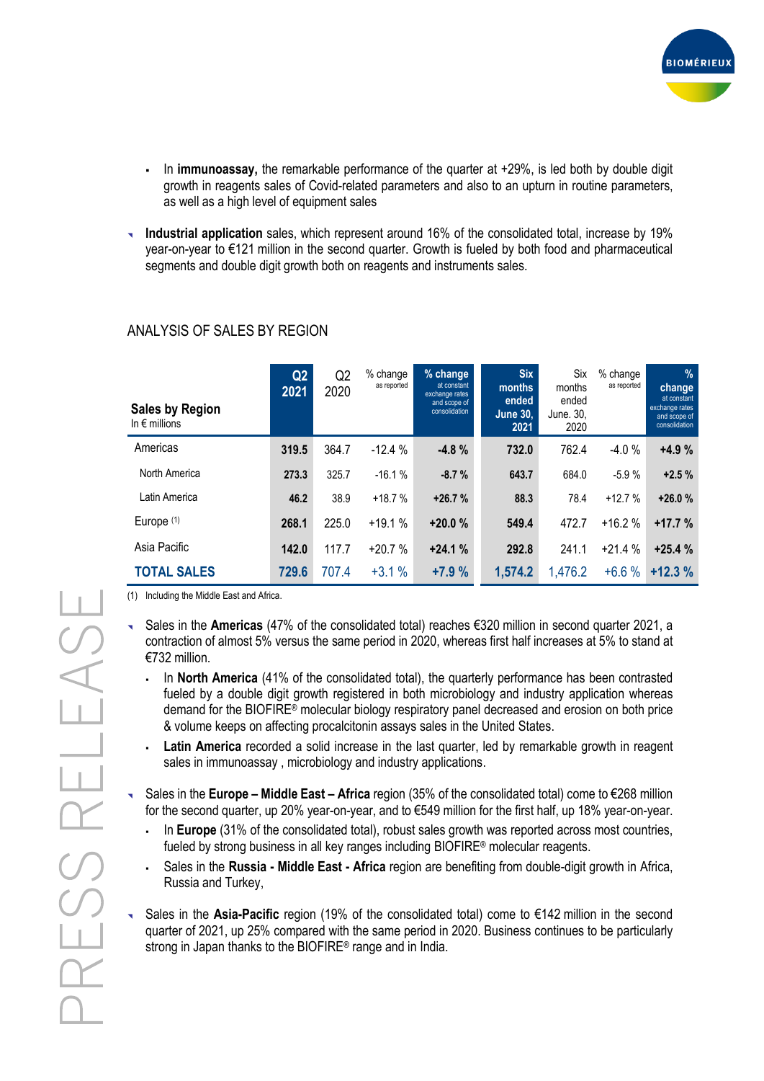

- In **immunoassay,** the remarkable performance of the quarter at +29%, is led both by double digit growth in reagents sales of Covid-related parameters and also to an upturn in routine parameters, as well as a high level of equipment sales
- **Industrial application** sales, which represent around 16% of the consolidated total, increase by 19% year-on-year to €121 million in the second quarter. Growth is fueled by both food and pharmaceutical segments and double digit growth both on reagents and instruments sales.

| <b>Sales by Region</b><br>In $\epsilon$ millions | Q2<br>2021 | Q <sub>2</sub><br>2020 | % change<br>as reported | % change<br>at constant<br>exchange rates<br>and scope of<br>consolidation | <b>Six</b><br>months<br>ended<br>June 30,<br>2021 | Six<br>months<br>ended<br>June. 30,<br>2020 | % change<br>as reported | $\frac{9}{6}$<br>change<br>at constant<br>exchange rates<br>and scope of<br>consolidation |
|--------------------------------------------------|------------|------------------------|-------------------------|----------------------------------------------------------------------------|---------------------------------------------------|---------------------------------------------|-------------------------|-------------------------------------------------------------------------------------------|
| Americas                                         | 319.5      | 364.7                  | $-12.4%$                | $-4.8%$                                                                    | 732.0                                             | 762.4                                       | $-4.0%$                 | $+4.9%$                                                                                   |
| North America                                    | 273.3      | 325.7                  | $-16.1%$                | $-8.7%$                                                                    | 643.7                                             | 684.0                                       | $-5.9%$                 | $+2.5%$                                                                                   |
| Latin America                                    | 46.2       | 38.9                   | $+18.7%$                | $+26.7%$                                                                   | 88.3                                              | 78.4                                        | $+12.7%$                | $+26.0%$                                                                                  |
| Europe (1)                                       | 268.1      | 225.0                  | $+19.1%$                | $+20.0%$                                                                   | 549.4                                             | 472.7                                       | $+16.2%$                | $+17.7%$                                                                                  |
| Asia Pacific                                     | 142.0      | 117.7                  | $+20.7%$                | $+24.1%$                                                                   | 292.8                                             | 241.1                                       | $+21.4%$                | $+25.4%$                                                                                  |
| <b>TOTAL SALES</b>                               | 729.6      | 707.4                  | $+3.1%$                 | $+7.9%$                                                                    | 1,574.2                                           | 1,476.2                                     | $+6.6%$                 | $+12.3%$                                                                                  |

# ANALYSIS OF SALES BY REGION

(1) Including the Middle East and Africa.

- Sales in the **Americas** (47% of the consolidated total) reaches €320 million in second quarter 2021, a contraction of almost 5% versus the same period in 2020, whereas first half increases at 5% to stand at €732 million.
	- In **North America** (41% of the consolidated total), the quarterly performance has been contrasted fueled by a double digit growth registered in both microbiology and industry application whereas demand for the BIOFIRE® molecular biology respiratory panel decreased and erosion on both price & volume keeps on affecting procalcitonin assays sales in the United States.
	- **Latin America** recorded a solid increase in the last quarter, led by remarkable growth in reagent sales in immunoassay , microbiology and industry applications.
- Sales in the **Europe – Middle East – Africa** region (35% of the consolidated total) come to €268 million for the second quarter, up 20% year-on-year, and to €549 million for the first half, up 18% year-on-year.
	- In **Europe** (31% of the consolidated total), robust sales growth was reported across most countries, fueled by strong business in all key ranges including BIOFIRE® molecular reagents.
	- Sales in the **Russia - Middle East - Africa** region are benefiting from double-digit growth in Africa, Russia and Turkey,
- Sales in the **Asia-Pacific** region (19% of the consolidated total) come to €142 million in the second quarter of 2021, up 25% compared with the same period in 2020. Business continues to be particularly strong in Japan thanks to the BIOFIRE® range and in India.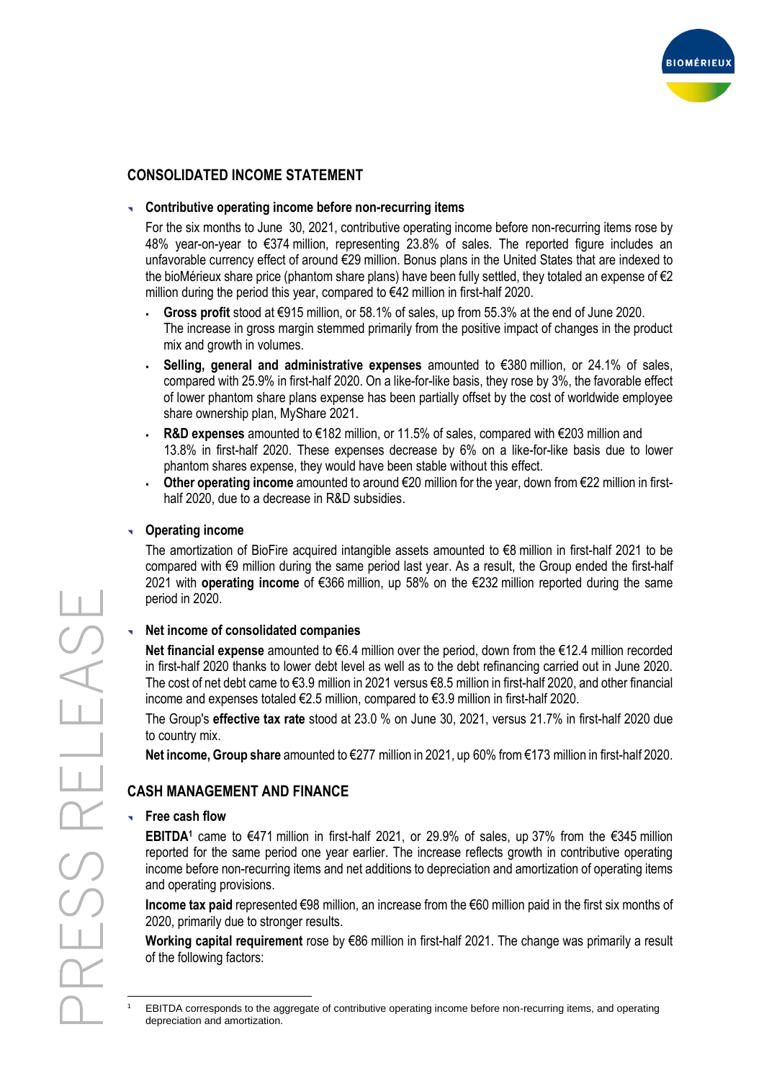

# **CONSOLIDATED INCOME STATEMENT**

### **Contributive operating income before non-recurring items**

For the six months to June 30, 2021, contributive operating income before non-recurring items rose by 48% year-on-year to €374 million, representing 23.8% of sales. The reported figure includes an unfavorable currency effect of around €29 million. Bonus plans in the United States that are indexed to the bioMérieux share price (phantom share plans) have been fully settled, they totaled an expense of €2 million during the period this year, compared to €42 million in first-half 2020.

- **Gross profit** stood at €915 million, or 58.1% of sales, up from 55.3% at the end of June 2020. The increase in gross margin stemmed primarily from the positive impact of changes in the product mix and growth in volumes.
- **Selling, general and administrative expenses** amounted to €380 million, or 24.1% of sales, compared with 25.9% in first-half 2020. On a like-for-like basis, they rose by 3%, the favorable effect of lower phantom share plans expense has been partially offset by the cost of worldwide employee share ownership plan, MyShare 2021.
- **R&D expenses** amounted to €182 million, or 11.5% of sales, compared with €203 million and 13.8% in first-half 2020. These expenses decrease by 6% on a like-for-like basis due to lower phantom shares expense, they would have been stable without this effect.
- **Other operating income** amounted to around €20 million for the year, down from €22 million in firsthalf 2020, due to a decrease in R&D subsidies.

### **Operating income**

The amortization of BioFire acquired intangible assets amounted to €8 million in first-half 2021 to be compared with €9 million during the same period last year. As a result, the Group ended the first-half 2021 with **operating income** of €366 million, up 58% on the €232 million reported during the same period in 2020.

#### **Net income of consolidated companies**

**Net financial expense** amounted to €6.4 million over the period, down from the €12.4 million recorded in first-half 2020 thanks to lower debt level as well as to the debt refinancing carried out in June 2020. The cost of net debt came to €3.9 million in 2021 versus €8.5 million in first-half 2020, and other financial income and expenses totaled €2.5 million, compared to €3.9 million in first-half 2020.

The Group's **effective tax rate** stood at 23.0 % on June 30, 2021, versus 21.7% in first-half 2020 due to country mix.

**Net income, Group share** amounted to €277 million in 2021, up 60% from €173 million in first-half 2020.

## **CASH MANAGEMENT AND FINANCE**

#### **Free cash flow**

**EBITDA<sup>1</sup>** came to €471 million in first-half 2021, or 29.9% of sales, up 37% from the €345 million reported for the same period one year earlier. The increase reflects growth in contributive operating income before non-recurring items and net additions to depreciation and amortization of operating items and operating provisions.

**Income tax paid** represented €98 million, an increase from the €60 million paid in the first six months of 2020, primarily due to stronger results.

**Working capital requirement** rose by €86 million in first-half 2021. The change was primarily a result of the following factors:

<sup>1</sup> EBITDA corresponds to the aggregate of contributive operating income before non-recurring items, and operating depreciation and amortization.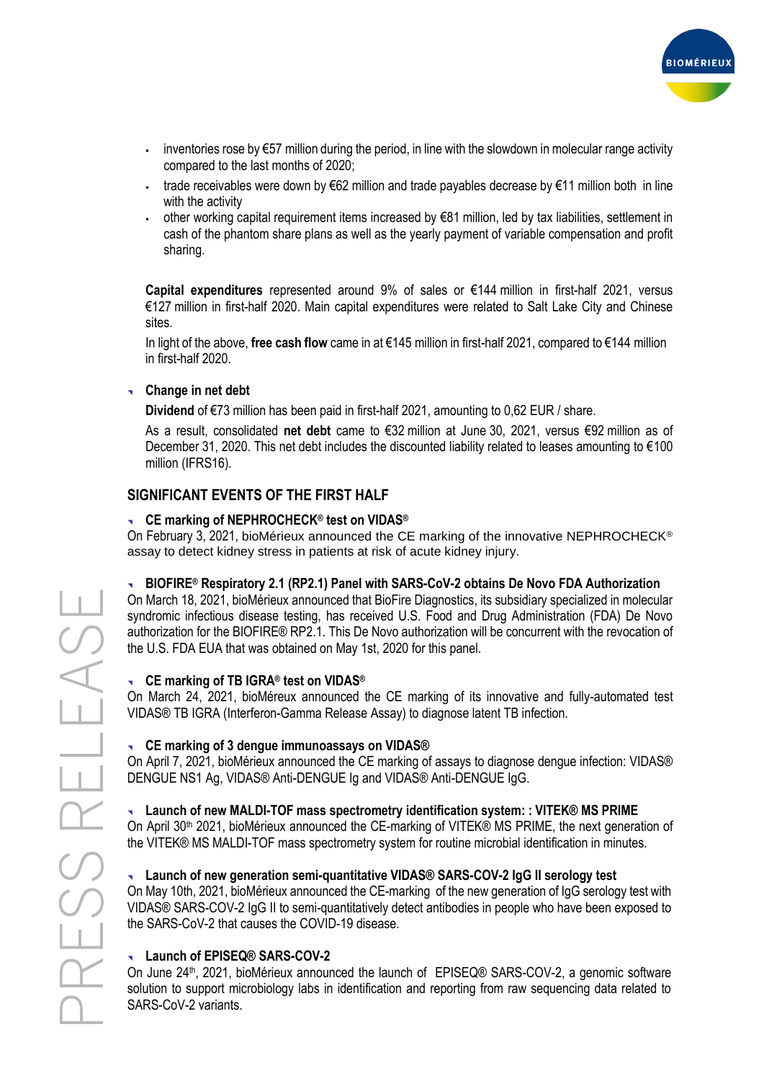

- $\blacksquare$  inventories rose by €57 million during the period, in line with the slowdown in molecular range activity compared to the last months of 2020;
- . trade receivables were down by €62 million and trade payables decrease by €11 million both in line with the activity
- other working capital requirement items increased by €81 million, led by tax liabilities, settlement in cash of the phantom share plans as well as the yearly payment of variable compensation and profit sharing.

**Capital expenditures** represented around 9% of sales or €144 million in first-half 2021, versus €127 million in first-half 2020. Main capital expenditures were related to Salt Lake City and Chinese sites.

In light of the above, **free cash flow** came in at €145 million in first-half 2021, compared to €144 million in first-half 2020.

### **Change in net debt**

**Dividend** of €73 million has been paid in first-half 2021, amounting to 0,62 EUR / share.

As a result, consolidated **net debt** came to €32 million at June 30, 2021, versus €92 million as of December 31, 2020. This net debt includes the discounted liability related to leases amounting to €100 million (IFRS16).

# **SIGNIFICANT EVENTS OF THE FIRST HALF**

### **CE marking of NEPHROCHECK® test on VIDAS®**

On February 3, 2021, bioMérieux announced the CE marking of the innovative NEPHROCHECK® assay to detect kidney stress in patients at risk of acute kidney injury.

#### **BIOFIRE® Respiratory 2.1 (RP2.1) Panel with SARS-CoV-2 obtains De Novo FDA Authorization**

On March 18, 2021, bioMérieux announced that BioFire Diagnostics, its subsidiary specialized in molecular syndromic infectious disease testing, has received U.S. Food and Drug Administration (FDA) De Novo authorization for the BIOFIRE® RP2.1. This De Novo authorization will be concurrent with the revocation of the U.S. FDA EUA that was obtained on May 1st, 2020 for this panel.

#### **CE marking of TB IGRA® test on VIDAS®**

On March 24, 2021, bioMéreux announced the CE marking of its innovative and fully-automated test VIDAS® TB IGRA (Interferon-Gamma Release Assay) to diagnose latent TB infection.

#### **CE marking of 3 dengue immunoassays on VIDAS®**

On April 7, 2021, bioMérieux announced the CE marking of assays to diagnose dengue infection: VIDAS® DENGUE NS1 Ag, VIDAS® Anti-DENGUE Ig and VIDAS® Anti-DENGUE IgG.

## **Launch of new MALDI-TOF mass spectrometry identification system: : VITEK® MS PRIME**

On April 30<sup>th</sup> 2021, bioMérieux announced the CE-marking of VITEK® MS PRIME, the next generation of the VITEK® MS MALDI-TOF mass spectrometry system for routine microbial identification in minutes.

#### **Launch of new generation semi-quantitative VIDAS® SARS-COV-2 IgG II serology test**

On May 10th, 2021, bioMérieux announced the CE-marking of the new generation of IgG serology test with VIDAS® SARS-COV-2 IgG II to semi-quantitatively detect antibodies in people who have been exposed to the SARS-CoV-2 that causes the COVID-19 disease.

## **Launch of EPISEQ® SARS-COV-2**

On June 24<sup>th</sup>, 2021, bioMérieux announced the launch of EPISEQ® SARS-COV-2, a genomic software solution to support microbiology labs in identification and reporting from raw sequencing data related to SARS-CoV-2 variants.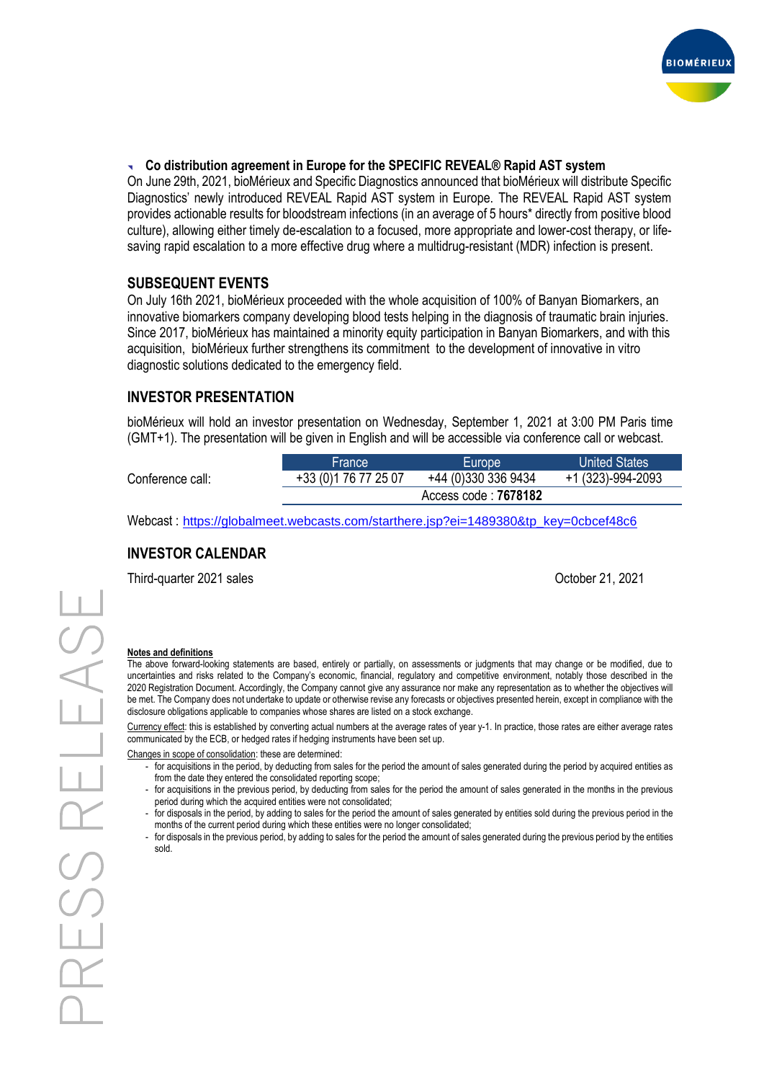

#### **Co distribution agreement in Europe for the SPECIFIC REVEAL® Rapid AST system**

On June 29th, 2021, bioMérieux and Specific Diagnostics announced that bioMérieux will distribute Specific Diagnostics' newly introduced REVEAL Rapid AST system in Europe. The REVEAL Rapid AST system provides actionable results for bloodstream infections (in an average of 5 hours\* directly from positive blood culture), allowing either timely de-escalation to a focused, more appropriate and lower-cost therapy, or lifesaving rapid escalation to a more effective drug where a multidrug-resistant (MDR) infection is present.

### **SUBSEQUENT EVENTS**

On July 16th 2021, bioMérieux proceeded with the whole acquisition of 100% of Banyan Biomarkers, an innovative biomarkers company developing blood tests helping in the diagnosis of traumatic brain injuries. Since 2017, bioMérieux has maintained a minority equity participation in Banyan Biomarkers, and with this acquisition, bioMérieux further strengthens its commitment to the development of innovative in vitro diagnostic solutions dedicated to the emergency field.

#### **INVESTOR PRESENTATION**

bioMérieux will hold an investor presentation on Wednesday, September 1, 2021 at 3:00 PM Paris time (GMT+1). The presentation will be given in English and will be accessible via conference call or webcast.

|                  | <b>France</b>         | Europe              | <b>United States</b> |  |  |  |  |
|------------------|-----------------------|---------------------|----------------------|--|--|--|--|
| Conference call: | +33 (0) 1 76 77 25 07 | +44 (0)330 336 9434 | +1 (323)-994-2093    |  |  |  |  |
|                  | Access code: 7678182  |                     |                      |  |  |  |  |

Webcast : [https://globalmeet.webcasts.com/starthere.jsp?ei=1489380&tp\\_key=0cbcef48c6](https://globalmeet.webcasts.com/starthere.jsp?ei=1489380&tp_key=0cbcef48c6)

## **INVESTOR CALENDAR**

Third-quarter 2021 sales **Community 1998** Solution 1, 2021 and 2011 and 2021 and 2021 and 2021 and 2021 and 2021

#### **Notes and definitions**

The above forward-looking statements are based, entirely or partially, on assessments or judgments that may change or be modified, due to uncertainties and risks related to the Company's economic, financial, regulatory and competitive environment, notably those described in the 2020 Registration Document. Accordingly, the Company cannot give any assurance nor make any representation as to whether the objectives will be met. The Company does not undertake to update or otherwise revise any forecasts or objectives presented herein, except in compliance with the disclosure obligations applicable to companies whose shares are listed on a stock exchange.

Currency effect: this is established by converting actual numbers at the average rates of year y-1. In practice, those rates are either average rates communicated by the ECB, or hedged rates if hedging instruments have been set up.

Changes in scope of consolidation: these are determined:

- for acquisitions in the period, by deducting from sales for the period the amount of sales generated during the period by acquired entities as from the date they entered the consolidated reporting scope;
- for acquisitions in the previous period, by deducting from sales for the period the amount of sales generated in the months in the previous period during which the acquired entities were not consolidated;
- for disposals in the period, by adding to sales for the period the amount of sales generated by entities sold during the previous period in the months of the current period during which these entities were no longer consolidated;
- for disposals in the previous period, by adding to sales for the period the amount of sales generated during the previous period by the entities sold.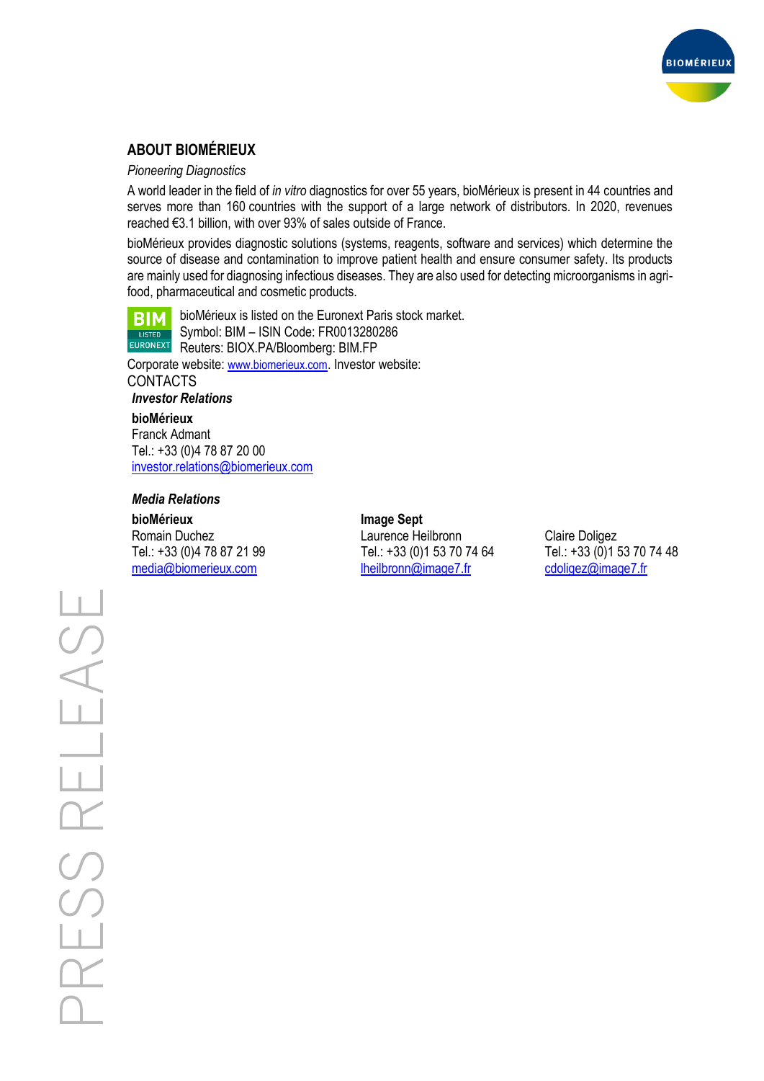

# **ABOUT BIOMÉRIEUX**

#### *Pioneering Diagnostics*

A world leader in the field of *in vitro* diagnostics for over 55 years, bioMérieux is present in 44 countries and serves more than 160 countries with the support of a large network of distributors. In 2020, revenues reached €3.1 billion, with over 93% of sales outside of France.

bioMérieux provides diagnostic solutions (systems, reagents, software and services) which determine the source of disease and contamination to improve patient health and ensure consumer safety. Its products are mainly used for diagnosing infectious diseases. They are also used for detecting microorganisms in agrifood, pharmaceutical and cosmetic products.



bioMérieux is listed on the Euronext Paris stock market. Symbol: BIM – ISIN Code: FR0013280286 Reuters: BIOX.PA/Bloomberg: BIM.FP

Corporate website: [www.biomerieux.com](http://www.biomerieux.com/). Investor website: CONTACTS

*Investor Relations*

### **bioMérieux**

Franck Admant Tel.: +33 (0)4 78 87 20 00 [investor.relations@biomerieux.com](mailto:investor.relations@biomerieux.com)

#### *Media Relations*

**bioMérieux Image Sept**

Romain Duchez Laurence Heilbronn Claire Doligez Tel.: +33 (0)4 78 87 21 99 Tel.: +33 (0)1 53 70 74 64 Tel.: +33 (0)1 53 70 74 48 [media@biomerieux.com](mailto:media@biomerieux.com) [lheilbronn@image7.fr](mailto:lheilbronn@image7.fr) [cdoligez@image7.fr](mailto:cdoligez@image7.fr)

PRESS RELEAS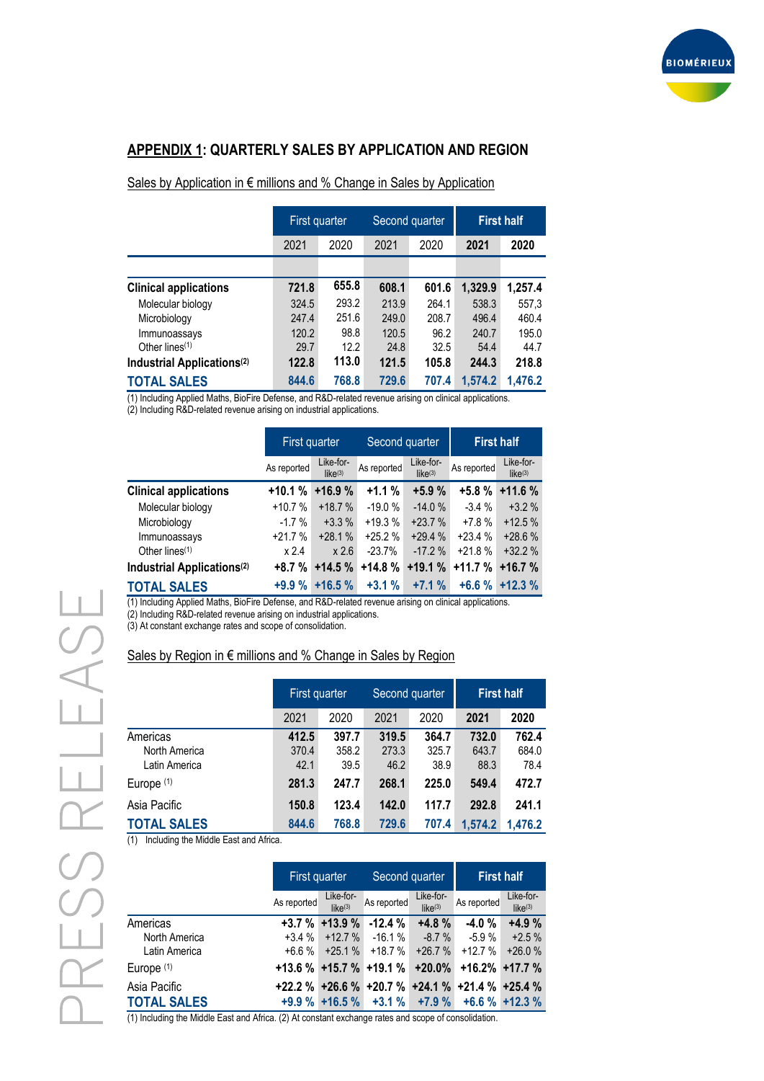

# **APPENDIX 1: QUARTERLY SALES BY APPLICATION AND REGION**

#### Sales by Application in € millions and % Change in Sales by Application

|                                        | First quarter |       | Second quarter |       | <b>First half</b> |         |
|----------------------------------------|---------------|-------|----------------|-------|-------------------|---------|
|                                        | 2021          | 2020  | 2021           | 2020  | 2021              | 2020    |
|                                        |               |       |                |       |                   |         |
| <b>Clinical applications</b>           | 721.8         | 655.8 | 608.1          | 601.6 | 1,329.9           | 1,257.4 |
| Molecular biology                      | 324.5         | 293.2 | 213.9          | 264.1 | 538.3             | 557,3   |
| Microbiology                           | 247.4         | 251.6 | 249.0          | 208.7 | 496.4             | 460.4   |
| Immunoassays                           | 120.2         | 98.8  | 120.5          | 96.2  | 240.7             | 195.0   |
| Other lines $(1)$                      | 29.7          | 12.2  | 24.8           | 32.5  | 54.4              | 44.7    |
| Industrial Applications <sup>(2)</sup> | 122.8         | 113.0 | 121.5          | 105.8 | 244.3             | 218.8   |
| <b>TOTAL SALES</b>                     | 844.6         | 768.8 | 729.6          | 707.4 | 1,574.2           | 1,476.2 |

(1) Including Applied Maths, BioFire Defense, and R&D-related revenue arising on clinical applications.

(2) Including R&D-related revenue arising on industrial applications.

|                                        | First quarter |                      | Second quarter |                                  | <b>First half</b> |                                  |
|----------------------------------------|---------------|----------------------|----------------|----------------------------------|-------------------|----------------------------------|
|                                        | As reported   | Like-for-<br>like(3) | As reported    | Like-for-<br>like <sup>(3)</sup> | As reported       | Like-for-<br>like <sup>(3)</sup> |
| <b>Clinical applications</b>           | $+10.1%$      | $+16.9%$             | $+1.1%$        | $+5.9%$                          | $+5.8%$           | $+11.6%$                         |
| Molecular biology                      | $+10.7%$      | $+18.7%$             | $-19.0%$       | $-14.0%$                         | $-3.4%$           | $+3.2%$                          |
| Microbiology                           | $-1.7\%$      | $+3.3%$              | $+19.3%$       | $+23.7%$                         | $+7.8%$           | $+12.5%$                         |
| Immunoassays                           | $+21.7%$      | $+28.1%$             | $+25.2%$       | $+29.4%$                         | $+23.4%$          | $+28.6%$                         |
| Other lines $(1)$                      | x 2.4         | x 2.6                | $-23.7%$       | $-17.2%$                         | $+21.8%$          | $+32.2%$                         |
| Industrial Applications <sup>(2)</sup> | $+8.7%$       | $+14.5%$             | +14.8 %        | $+19.1%$                         | $+11.7%$          | $+16.7%$                         |
| <b>TOTAL SALES</b>                     | $+9.9%$       | $+16.5%$             | $+3.1%$        | $+7.1%$                          | $+6.6%$           | $+12.3%$                         |

(1) Including Applied Maths, BioFire Defense, and R&D-related revenue arising on clinical applications.

(2) Including R&D-related revenue arising on industrial applications.

(3) At constant exchange rates and scope of consolidation.

#### Sales by Region in € millions and % Change in Sales by Region

|                                            | First quarter          |                        | Second quarter         |                        | <b>First half</b>      |                        |
|--------------------------------------------|------------------------|------------------------|------------------------|------------------------|------------------------|------------------------|
|                                            | 2021                   | 2020                   | 2021                   | 2020                   | 2021                   | 2020                   |
| Americas<br>North America<br>Latin America | 412.5<br>370.4<br>42.1 | 397.7<br>358.2<br>39.5 | 319.5<br>273.3<br>46.2 | 364.7<br>325.7<br>38.9 | 732.0<br>643.7<br>88.3 | 762.4<br>684.0<br>78.4 |
| Europe <sup>(1)</sup>                      | 281.3                  | 247.7                  | 268.1                  | 225.0                  | 549.4                  | 472.7                  |
| Asia Pacific                               | 150.8                  | 123.4                  | 142.0                  | 117.7                  | 292.8                  | 241.1                  |
| <b>TOTAL SALES</b>                         | 844.6                  | 768.8                  | 729.6                  | 707.4                  | 1,574.2                | 1.476.2                |

(1) Including the Middle East and Africa.

|                    | First quarter |                      | Second quarter                |                      | <b>First half</b>                               |                                  |
|--------------------|---------------|----------------------|-------------------------------|----------------------|-------------------------------------------------|----------------------------------|
|                    | As reported   | Like-for-<br>like(3) | As reported                   | Like-for-<br>like(3) | As reported                                     | Like-for-<br>like <sup>(3)</sup> |
| Americas           |               | $+3.7 \% +13.9 \%$   | $-12.4%$                      | $+4.8%$              | $-4.0%$                                         | $+4.9%$                          |
| North America      | $+3.4%$       | $+12.7%$             | $-16.1%$                      | $-8.7%$              | $-5.9%$                                         | $+2.5%$                          |
| Latin America      | $+6.6%$       | $+25.1%$             | +18.7 %                       | $+26.7%$             | $+12.7%$                                        | $+26.0%$                         |
| Europe $(1)$       |               |                      | $+13.6$ % $+15.7$ % $+19.1$ % | $+20.0\%$            |                                                 | $+16.2\% +17.7\%$                |
| Asia Pacific       |               |                      |                               |                      | +22.2 % +26.6 % +20.7 % +24.1 % +21.4 % +25.4 % |                                  |
| <b>TOTAL SALES</b> |               | $+9.9\%$ +16.5 %     |                               | $+3.1\%$ $+7.9\%$    |                                                 | $+6.6\% +12.3\%$                 |

(1) Including the Middle East and Africa. (2) At constant exchange rates and scope of consolidation.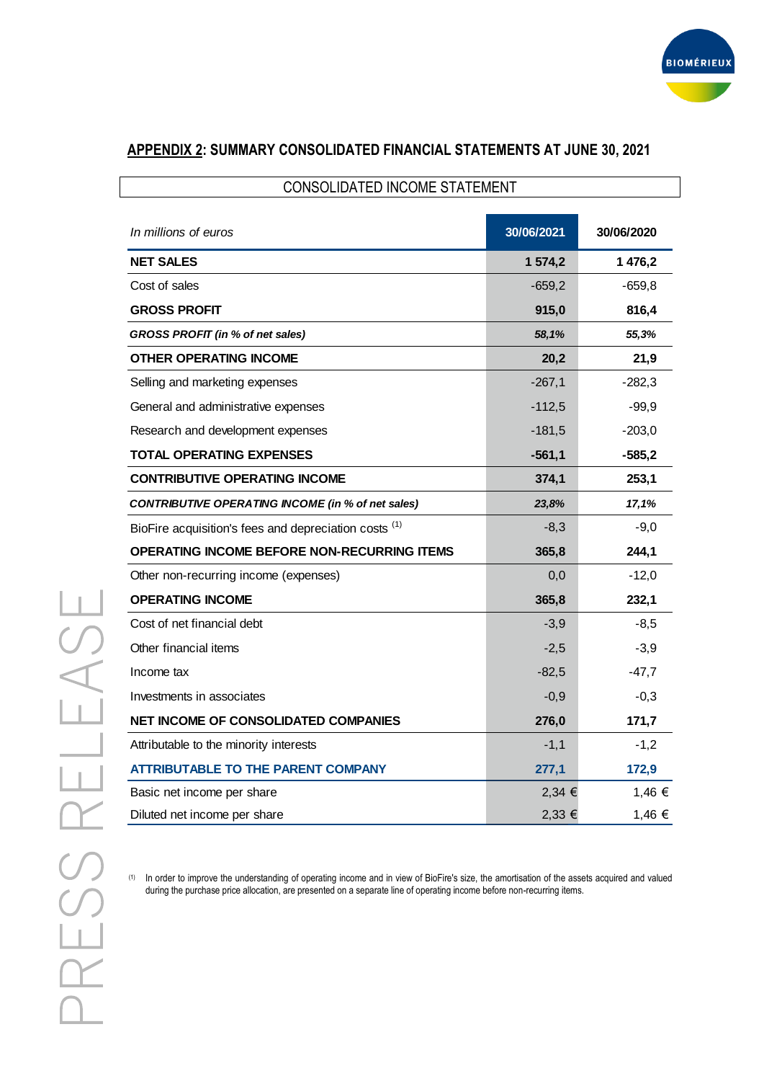

# **APPENDIX 2: SUMMARY CONSOLIDATED FINANCIAL STATEMENTS AT JUNE 30, 2021**

| <b>CONSOLIDATED INCOME STATEMENT</b>                     |            |            |  |  |  |
|----------------------------------------------------------|------------|------------|--|--|--|
| In millions of euros                                     | 30/06/2021 | 30/06/2020 |  |  |  |
| <b>NET SALES</b>                                         | 1 574,2    | 1 476,2    |  |  |  |
| Cost of sales                                            | $-659,2$   | $-659,8$   |  |  |  |
| <b>GROSS PROFIT</b>                                      | 915,0      | 816,4      |  |  |  |
| GROSS PROFIT (in % of net sales)                         | 58,1%      | 55,3%      |  |  |  |
| <b>OTHER OPERATING INCOME</b>                            | 20,2       | 21,9       |  |  |  |
| Selling and marketing expenses                           | $-267,1$   | $-282,3$   |  |  |  |
| General and administrative expenses                      | $-112,5$   | $-99,9$    |  |  |  |
| Research and development expenses                        | $-181,5$   | $-203.0$   |  |  |  |
| <b>TOTAL OPERATING EXPENSES</b>                          | $-561,1$   | $-585,2$   |  |  |  |
| <b>CONTRIBUTIVE OPERATING INCOME</b>                     | 374,1      | 253,1      |  |  |  |
| <b>CONTRIBUTIVE OPERATING INCOME (in % of net sales)</b> | 23,8%      | 17,1%      |  |  |  |
| BioFire acquisition's fees and depreciation costs (1)    | $-8,3$     | $-9,0$     |  |  |  |
| OPERATING INCOME BEFORE NON-RECURRING ITEMS              | 365,8      | 244,1      |  |  |  |
| Other non-recurring income (expenses)                    | 0,0        | $-12,0$    |  |  |  |
| <b>OPERATING INCOME</b>                                  | 365,8      | 232,1      |  |  |  |
| Cost of net financial debt                               | $-3,9$     | $-8,5$     |  |  |  |
| Other financial items                                    | $-2,5$     | $-3,9$     |  |  |  |
| Income tax                                               | $-82,5$    | $-47,7$    |  |  |  |
| Investments in associates                                | $-0,9$     | $-0,3$     |  |  |  |
| <b>NET INCOME OF CONSOLIDATED COMPANIES</b>              | 276,0      | 171,7      |  |  |  |
| Attributable to the minority interests                   | $-1,1$     | $-1,2$     |  |  |  |
| <b>ATTRIBUTABLE TO THE PARENT COMPANY</b>                | 277,1      | 172,9      |  |  |  |
| Basic net income per share                               | $2,34 \in$ | 1,46 €     |  |  |  |
| Diluted net income per share                             | $2,33 \in$ | 1,46 €     |  |  |  |

(1) In order to improve the understanding of operating income and in view of BioFire's size, the amortisation of the assets acquired and valued during the purchase price allocation, are presented on a separate line of operating income before non-recurring items.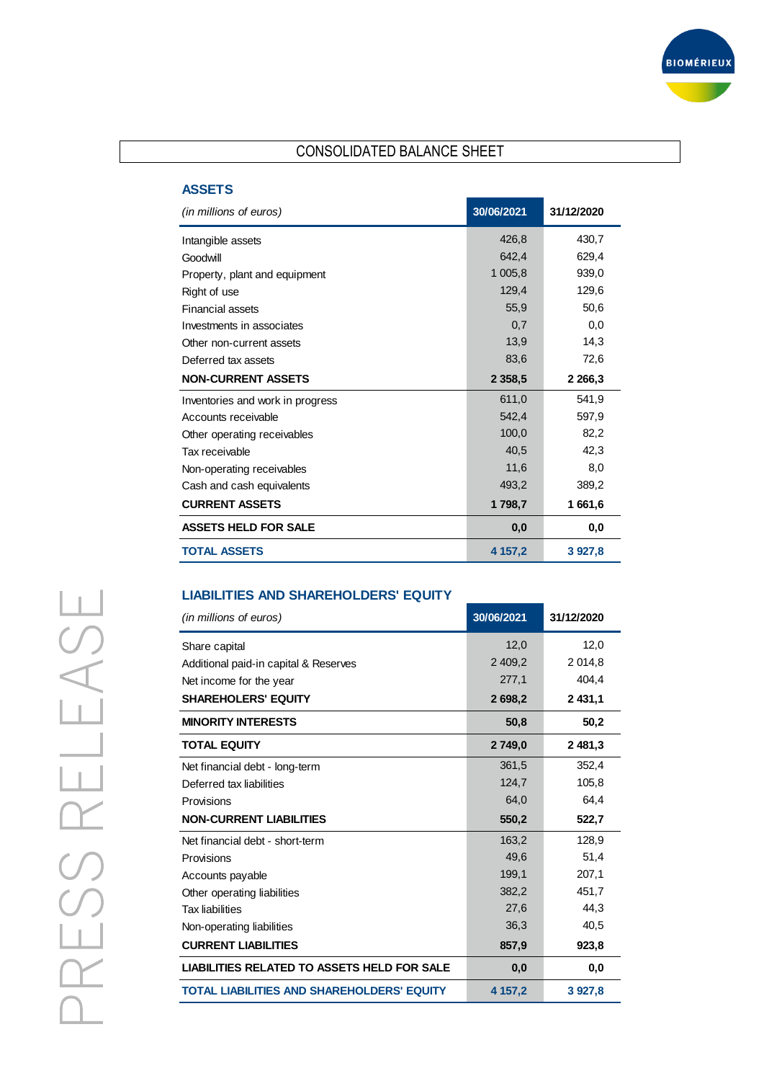

# CONSOLIDATED BALANCE SHEET

#### **ASSETS**

| (in millions of euros)           | 30/06/2021 | 31/12/2020 |
|----------------------------------|------------|------------|
| Intangible assets                | 426,8      | 430,7      |
| Goodwill                         | 642,4      | 629,4      |
| Property, plant and equipment    | 1 005,8    | 939,0      |
| Right of use                     | 129,4      | 129,6      |
| <b>Financial assets</b>          | 55.9       | 50,6       |
| Investments in associates        | 0,7        | 0,0        |
| Other non-current assets         | 13,9       | 14,3       |
| Deferred tax assets              | 83,6       | 72,6       |
| <b>NON-CURRENT ASSETS</b>        | 2 3 5 8, 5 | 2 2 66,3   |
| Inventories and work in progress | 611,0      | 541,9      |
| Accounts receivable              | 542,4      | 597,9      |
| Other operating receivables      | 100,0      | 82,2       |
| Tax receivable                   | 40,5       | 42,3       |
| Non-operating receivables        | 11,6       | 8,0        |
| Cash and cash equivalents        | 493,2      | 389,2      |
| <b>CURRENT ASSETS</b>            | 1798,7     | 1 661,6    |
| <b>ASSETS HELD FOR SALE</b>      | 0,0        | 0,0        |
| <b>TOTAL ASSETS</b>              | 4 157,2    | 3 927,8    |

#### **LIABILITIES AND SHAREHOLDERS' EQUITY**

| (in millions of euros)                             | 30/06/2021 | 31/12/2020 |
|----------------------------------------------------|------------|------------|
| Share capital                                      | 12,0       | 12,0       |
| Additional paid-in capital & Reserves              | 2 409,2    | 2 0 1 4, 8 |
| Net income for the year                            | 277,1      | 404,4      |
| <b>SHAREHOLERS' EQUITY</b>                         | 2698.2     | 2 431.1    |
| <b>MINORITY INTERESTS</b>                          | 50,8       | 50,2       |
| <b>TOTAL EQUITY</b>                                | 2 749,0    | 2 481,3    |
| Net financial debt - long-term                     | 361,5      | 352,4      |
| Deferred tax liabilities                           | 124,7      | 105,8      |
| Provisions                                         | 64,0       | 64.4       |
| <b>NON-CURRENT LIABILITIES</b>                     | 550,2      | 522,7      |
| Net financial debt - short-term                    | 163,2      | 128,9      |
| Provisions                                         | 49,6       | 51,4       |
| Accounts payable                                   | 199,1      | 207,1      |
| Other operating liabilities                        | 382,2      | 451,7      |
| <b>Tax liabilities</b>                             | 27,6       | 44,3       |
| Non-operating liabilities                          | 36,3       | 40,5       |
| <b>CURRENT LIABILITIES</b>                         | 857,9      | 923,8      |
| <b>LIABILITIES RELATED TO ASSETS HELD FOR SALE</b> | 0,0        | 0,0        |
| <b>TOTAL LIABILITIES AND SHAREHOLDERS' EQUITY</b>  | 4 157,2    | 3 9 27,8   |